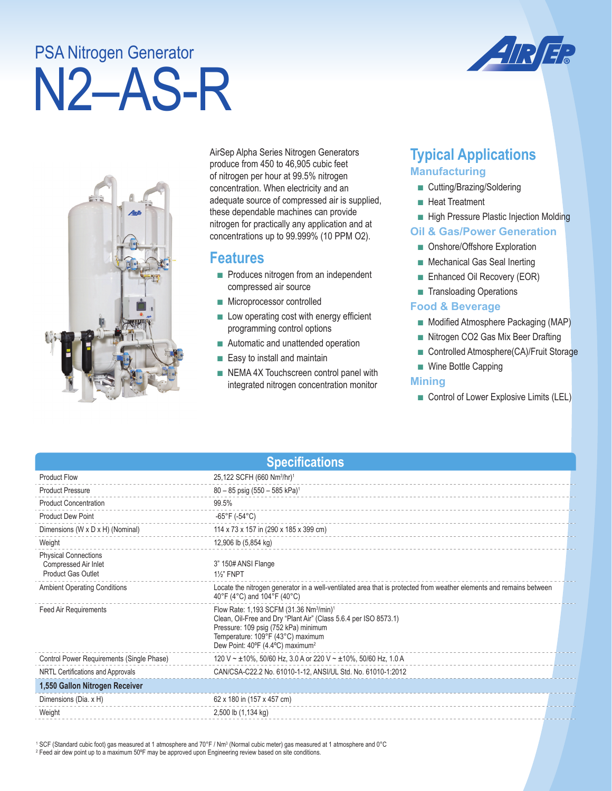# N2–AS-R PSA Nitrogen Generator





AirSep Alpha Series Nitrogen Generators produce from 450 to 46,905 cubic feet of nitrogen per hour at 99.5% nitrogen concentration. When electricity and an adequate source of compressed air is supplied, these dependable machines can provide nitrogen for practically any application and at concentrations up to 99.999% (10 PPM O2).

## **Features**

- Produces nitrogen from an independent compressed air source
- Microprocessor controlled
- Low operating cost with energy efficient programming control options
- Automatic and unattended operation
- Easy to install and maintain
- NEMA 4X Touchscreen control panel with integrated nitrogen concentration monitor

# **Typical Applications Manufacturing**

- Cutting/Brazing/Soldering
- Heat Treatment
- High Pressure Plastic Injection Molding

#### **Oil & Gas/Power Generation**

- Onshore/Offshore Exploration
- Mechanical Gas Seal Inerting
- Enhanced Oil Recovery (EOR)
- Transloading Operations

#### **Food & Beverage**

- Modified Atmosphere Packaging (MAP)
- Nitrogen CO2 Gas Mix Beer Drafting
- Controlled Atmosphere(CA)/Fruit Storage
- Wine Bottle Capping

#### **Mining**

■ Control of Lower Explosive Limits (LEL)

| <b>Specifications</b>                                                     |                                                                                                                                                                                                                                                                  |  |  |
|---------------------------------------------------------------------------|------------------------------------------------------------------------------------------------------------------------------------------------------------------------------------------------------------------------------------------------------------------|--|--|
| <b>Product Flow</b>                                                       | 25,122 SCFH (660 Nm <sup>3</sup> /hr) <sup>1</sup>                                                                                                                                                                                                               |  |  |
| <b>Product Pressure</b>                                                   | $80 - 85$ psig (550 - 585 kPa) <sup>1</sup>                                                                                                                                                                                                                      |  |  |
| <b>Product Concentration</b>                                              | 99.5%                                                                                                                                                                                                                                                            |  |  |
| <b>Product Dew Point</b>                                                  | -65°F (-54°C)                                                                                                                                                                                                                                                    |  |  |
| Dimensions (W x D x H) (Nominal)                                          | 114 x 73 x 157 in (290 x 185 x 399 cm)                                                                                                                                                                                                                           |  |  |
| Weight                                                                    | 12,906 lb (5,854 kg)                                                                                                                                                                                                                                             |  |  |
| <b>Physical Connections</b><br>Compressed Air Inlet<br>Product Gas Outlet | 3" 150# ANSI Flange<br><b>11/2" FNPT</b>                                                                                                                                                                                                                         |  |  |
| <b>Ambient Operating Conditions</b>                                       | Locate the nitrogen generator in a well-ventilated area that is protected from weather elements and remains between<br>40°F (4°C) and 104°F (40°C)                                                                                                               |  |  |
| Feed Air Requirements                                                     | Flow Rate: 1,193 SCFM (31.36 Nm <sup>3</sup> /min) <sup>1</sup><br>Clean, Oil-Free and Dry "Plant Air" (Class 5.6.4 per ISO 8573.1)<br>Pressure: 109 psig (752 kPa) minimum<br>Temperature: 109°F (43°C) maximum<br>Dew Point: 40°F (4.4°C) maximum <sup>2</sup> |  |  |
| Control Power Requirements (Single Phase)                                 | 120 V ~ ±10%, 50/60 Hz, 3.0 A or 220 V ~ ±10%, 50/60 Hz, 1.0 A                                                                                                                                                                                                   |  |  |
| NRTL Certifications and Approvals                                         | CAN/CSA-C22.2 No. 61010-1-12, ANSI/UL Std. No. 61010-1:2012                                                                                                                                                                                                      |  |  |
| 1,550 Gallon Nitrogen Receiver                                            |                                                                                                                                                                                                                                                                  |  |  |
| Dimensions (Dia. x H)                                                     | 62 x 180 in (157 x 457 cm)                                                                                                                                                                                                                                       |  |  |
| Weight                                                                    | 2,500 lb (1,134 kg)                                                                                                                                                                                                                                              |  |  |

 $^1$  SCF (Standard cubic foot) gas measured at 1 atmosphere and 70°F / Nm $^3$  (Normal cubic meter) gas measured at 1 atmosphere and 0°C 2 Feed air dew point up to a maximum 50ºF may be approved upon Engineering review based on site conditions.